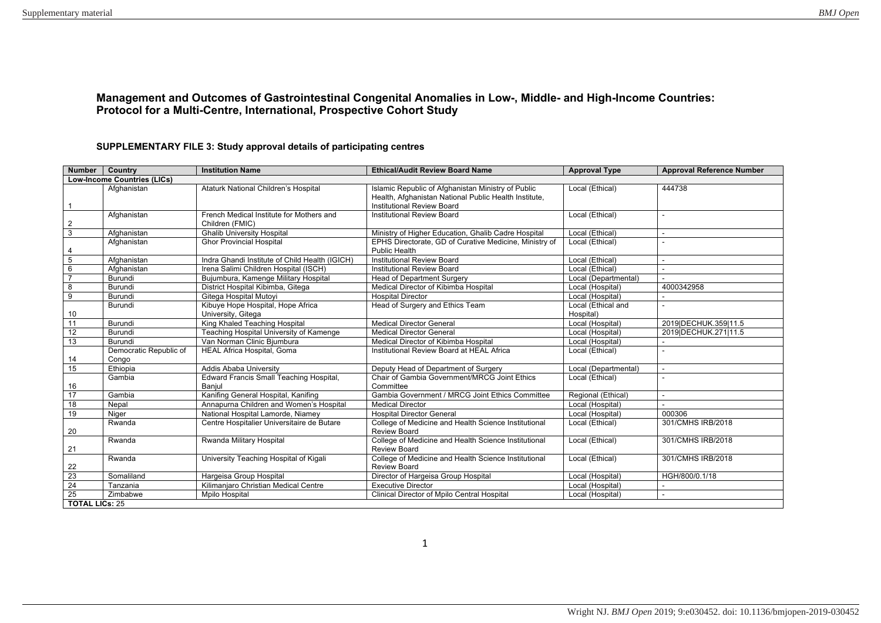## **Management and Outcomes of Gastrointestinal Congenital Anomalies in Low-, Middle- and High-Income Countries: Protocol for a Multi-Centre, International, Prospective Cohort Study**

## **SUPPLEMENTARY FILE 3: Study approval details of participating centres**

| Number   Country         |                                    | <b>Institution Name</b>                                     | <b>Ethical/Audit Review Board Name</b>                                                                                                    | <b>Approval Type</b> | <b>Approval Reference Number</b> |  |  |  |  |  |
|--------------------------|------------------------------------|-------------------------------------------------------------|-------------------------------------------------------------------------------------------------------------------------------------------|----------------------|----------------------------------|--|--|--|--|--|
|                          | <b>Low-Income Countries (LICs)</b> |                                                             |                                                                                                                                           |                      |                                  |  |  |  |  |  |
| $\overline{1}$           | Afghanistan                        | Ataturk National Children's Hospital                        | Islamic Republic of Afghanistan Ministry of Public<br>Health, Afghanistan National Public Health Institute,<br>Institutional Review Board | Local (Ethical)      | 444738                           |  |  |  |  |  |
| $\overline{2}$           | Afghanistan                        | French Medical Institute for Mothers and<br>Children (FMIC) | <b>Institutional Review Board</b>                                                                                                         | Local (Ethical)      |                                  |  |  |  |  |  |
| $\overline{3}$           | Afghanistan                        | <b>Ghalib University Hospital</b>                           | Ministry of Higher Education, Ghalib Cadre Hospital                                                                                       | Local (Ethical)      | $\sim$                           |  |  |  |  |  |
| $\overline{4}$           | Afghanistan                        | <b>Ghor Provincial Hospital</b>                             | EPHS Directorate, GD of Curative Medicine, Ministry of<br><b>Public Health</b>                                                            | Local (Ethical)      |                                  |  |  |  |  |  |
| $5\overline{5}$          | Afghanistan                        | Indra Ghandi Institute of Child Health (IGICH)              | <b>Institutional Review Board</b>                                                                                                         | Local (Ethical)      | $\sim$                           |  |  |  |  |  |
| 6                        | Afghanistan                        | Irena Salimi Children Hospital (ISCH)                       | <b>Institutional Review Board</b>                                                                                                         | Local (Ethical)      |                                  |  |  |  |  |  |
| $\overline{\phantom{a}}$ | Burundi                            | Bujumbura, Kamenge Military Hospital                        | <b>Head of Department Surgery</b>                                                                                                         | Local (Departmental) |                                  |  |  |  |  |  |
| 8                        | Burundi                            | District Hospital Kibimba, Gitega                           | Medical Director of Kibimba Hospital                                                                                                      | Local (Hospital)     | 4000342958                       |  |  |  |  |  |
| $\overline{9}$           | Burundi                            | Gitega Hospital Mutoyi                                      | <b>Hospital Director</b>                                                                                                                  | Local (Hospital)     |                                  |  |  |  |  |  |
|                          | Burundi                            | Kibuye Hope Hospital, Hope Africa                           | Head of Surgery and Ethics Team                                                                                                           | Local (Ethical and   |                                  |  |  |  |  |  |
| 10                       |                                    | University, Gitega                                          |                                                                                                                                           | Hospital)            |                                  |  |  |  |  |  |
| 11                       | Burundi                            | King Khaled Teaching Hospital                               | <b>Medical Director General</b>                                                                                                           | Local (Hospital)     | 2019IDECHUK.359I11.5             |  |  |  |  |  |
| $\overline{12}$          | Burundi                            | Teaching Hospital University of Kamenge                     | <b>Medical Director General</b>                                                                                                           | Local (Hospital)     | 2019 DECHUK.271 11.5             |  |  |  |  |  |
| 13                       | Burundi                            | Van Norman Clinic Bjumbura                                  | Medical Director of Kibimba Hospital                                                                                                      | Local (Hospital)     |                                  |  |  |  |  |  |
|                          | Democratic Republic of             | HEAL Africa Hospital, Goma                                  | Institutional Review Board at HEAL Africa                                                                                                 | Local (Ethical)      |                                  |  |  |  |  |  |
| 14                       | Congo                              |                                                             |                                                                                                                                           |                      |                                  |  |  |  |  |  |
| 15                       | Ethiopia                           | Addis Ababa University                                      | Deputy Head of Department of Surgery                                                                                                      | Local (Departmental) |                                  |  |  |  |  |  |
|                          | Gambia                             | Edward Francis Small Teaching Hospital,                     | Chair of Gambia Government/MRCG Joint Ethics                                                                                              | Local (Ethical)      |                                  |  |  |  |  |  |
| 16                       |                                    | Banjul                                                      | Committee                                                                                                                                 |                      |                                  |  |  |  |  |  |
| 17                       | Gambia                             | Kanifing General Hospital, Kanifing                         | Gambia Government / MRCG Joint Ethics Committee                                                                                           | Regional (Ethical)   | $\sim$                           |  |  |  |  |  |
| $\overline{18}$          | Nepal                              | Annapurna Children and Women's Hospital                     | <b>Medical Director</b>                                                                                                                   | Local (Hospital)     |                                  |  |  |  |  |  |
| 19                       | Niger                              | National Hospital Lamorde, Niamev                           | <b>Hospital Director General</b>                                                                                                          | Local (Hospital)     | 000306                           |  |  |  |  |  |
| 20                       | Rwanda                             | Centre Hospitalier Universitaire de Butare                  | College of Medicine and Health Science Institutional<br><b>Review Board</b>                                                               | Local (Ethical)      | 301/CMHS IRB/2018                |  |  |  |  |  |
| 21                       | Rwanda                             | Rwanda Military Hospital                                    | College of Medicine and Health Science Institutional<br><b>Review Board</b>                                                               | Local (Ethical)      | 301/CMHS IRB/2018                |  |  |  |  |  |
| 22                       | Rwanda                             | University Teaching Hospital of Kigali                      | College of Medicine and Health Science Institutional<br><b>Review Board</b>                                                               | Local (Ethical)      | 301/CMHS IRB/2018                |  |  |  |  |  |
| 23                       | Somaliland                         | Hargeisa Group Hospital                                     | Director of Hargeisa Group Hospital                                                                                                       | Local (Hospital)     | HGH/800/0.1/18                   |  |  |  |  |  |
| $\overline{24}$          | Tanzania                           | Kilimanjaro Christian Medical Centre                        | <b>Executive Director</b>                                                                                                                 | Local (Hospital)     |                                  |  |  |  |  |  |
| $\overline{25}$          | Zimbabwe                           | Mpilo Hospital                                              | Clinical Director of Mpilo Central Hospital                                                                                               | Local (Hospital)     |                                  |  |  |  |  |  |
|                          |                                    |                                                             | <b>TOTAL LICs: 25</b>                                                                                                                     |                      |                                  |  |  |  |  |  |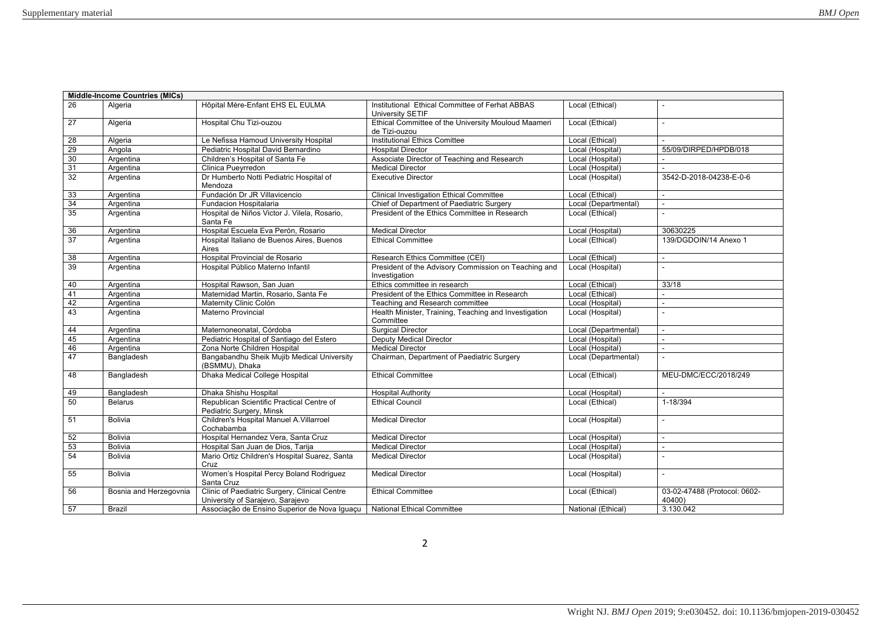| Hôpital Mère-Enfant EHS EL EULMA<br>26<br>Algeria<br>Institutional Ethical Committee of Ferhat ABBAS<br>Local (Ethical)<br>University SETIF<br>Ethical Committee of the University Mouloud Maameri<br>27<br>Local (Ethical)<br>Algeria<br>Hospital Chu Tizi-ouzou<br>de Tizi-ouzou<br><b>Institutional Ethics Comittee</b><br>28<br>Le Nefissa Hamoud University Hospital<br>Local (Ethical)<br>Algeria<br>29<br>Pediatric Hospital David Bernardino<br><b>Hospital Director</b><br>Local (Hospital)<br>55/09/DIRPED/HPDB/018<br>Angola<br>30<br>Children's Hospital of Santa Fe<br>Associate Director of Teaching and Research<br>Local (Hospital)<br>Argentina<br>31<br>Local (Hospital)<br>Clinica Pueyrredon<br><b>Medical Director</b><br>Argentina<br>32<br>Dr Humberto Notti Pediatric Hospital of<br><b>Executive Director</b><br>Local (Hospital)<br>3542-D-2018-04238-E-0-6<br>Argentina<br>Mendoza<br>Fundación Dr JR Villavicencio<br>33<br>Argentina<br><b>Clinical Investigation Ethical Committee</b><br>Local (Ethical)<br>$\sim$<br>34<br>Argentina<br>Chief of Department of Paediatric Surgery<br>Local (Departmental)<br>Fundacion Hospitalaria<br>$\overline{a}$<br>35<br>Hospital de Niños Victor J. Vilela, Rosario,<br>President of the Ethics Committee in Research<br>Local (Ethical)<br>Argentina<br>Santa Fe<br>36<br>Hospital Escuela Eva Perón, Rosario<br>Argentina<br><b>Medical Director</b><br>Local (Hospital)<br>30630225<br>$\overline{37}$<br>Hospital Italiano de Buenos Aires, Buenos<br><b>Ethical Committee</b><br>Local (Ethical)<br>139/DGDOIN/14 Anexo 1<br>Argentina<br>Aires<br>Argentina<br>Hospital Provincial de Rosario<br>Local (Ethical)<br>38<br>Research Ethics Committee (CEI)<br>$\sim$<br>$\overline{39}$<br>Hospital Público Materno Infantil<br>President of the Advisory Commission on Teaching and<br>Local (Hospital)<br>Argentina<br>Investigation<br>Ethics committee in research<br>Hospital Rawson, San Juan<br>Local (Ethical)<br>33/18<br>40<br>Argentina<br>President of the Ethics Committee in Research<br>41<br>Maternidad Martin, Rosario, Santa Fe<br>Local (Ethical)<br>Argentina<br>Local (Hospital)<br>42<br>Argentina<br>Maternity Clinic Colón<br>Teaching and Research committee<br>$\sim$<br>43<br>Health Minister, Training, Teaching and Investigation<br>Materno Provincial<br>Local (Hospital)<br>Argentina<br>Committee<br><b>Surgical Director</b><br>44<br>Argentina<br>Maternoneonatal, Córdoba<br>Local (Departmental)<br>$\sim$<br>45<br><b>Deputy Medical Director</b><br>Argentina<br>Pediatric Hospital of Santiago del Estero<br>Local (Hospital)<br>46<br>Local (Hospital)<br>Argentina<br>Zona Norte Children Hospital<br><b>Medical Director</b><br>÷.<br>47<br>Bangabandhu Sheik Mujib Medical University<br>Chairman, Department of Paediatric Surgery<br>Local (Departmental)<br>Bangladesh<br>(BSMMU), Dhaka<br>Dhaka Medical College Hospital<br><b>Ethical Committee</b><br>48<br>Bangladesh<br>Local (Ethical)<br>MEU-DMC/ECC/2018/249<br>Bangladesh<br>Dhaka Shishu Hospital<br>Local (Hospital)<br>49<br><b>Hospital Authority</b><br>Republican Scientific Practical Centre of<br>50<br><b>Ethical Council</b><br>Local (Ethical)<br>1-18/394<br><b>Belarus</b><br>Pediatric Surgery, Minsk<br>Children's Hospital Manuel A. Villarroel<br>51<br><b>Bolivia</b><br><b>Medical Director</b><br>Local (Hospital)<br>Cochabamba<br>Hospital Hernandez Vera, Santa Cruz<br>Local (Hospital)<br>52<br><b>Bolivia</b><br><b>Medical Director</b><br>$\mathbf{r}$<br>53<br><b>Bolivia</b><br><b>Medical Director</b><br>Local (Hospital)<br>Hospital San Juan de Dios, Tarija<br>54<br>Mario Ortiz Children's Hospital Suarez, Santa<br><b>Medical Director</b><br>Local (Hospital)<br><b>Bolivia</b><br>L.<br>Cruz<br>Women's Hospital Percy Boland Rodriguez<br>Local (Hospital)<br>55<br><b>Bolivia</b><br><b>Medical Director</b><br>Santa Cruz<br>Clinic of Paediatric Surgery, Clinical Centre<br>56<br>Bosnia and Herzegovnia<br><b>Ethical Committee</b><br>Local (Ethical)<br>03-02-47488 (Protocol: 0602-<br>University of Sarajevo, Sarajevo<br>40400)<br>Associação de Ensino Superior de Nova Iguaçu<br>3.130.042<br>57<br>National (Ethical)<br><b>Brazil</b><br><b>National Ethical Committee</b> | <b>Middle-Income Countries (MICs)</b> |  |  |
|------------------------------------------------------------------------------------------------------------------------------------------------------------------------------------------------------------------------------------------------------------------------------------------------------------------------------------------------------------------------------------------------------------------------------------------------------------------------------------------------------------------------------------------------------------------------------------------------------------------------------------------------------------------------------------------------------------------------------------------------------------------------------------------------------------------------------------------------------------------------------------------------------------------------------------------------------------------------------------------------------------------------------------------------------------------------------------------------------------------------------------------------------------------------------------------------------------------------------------------------------------------------------------------------------------------------------------------------------------------------------------------------------------------------------------------------------------------------------------------------------------------------------------------------------------------------------------------------------------------------------------------------------------------------------------------------------------------------------------------------------------------------------------------------------------------------------------------------------------------------------------------------------------------------------------------------------------------------------------------------------------------------------------------------------------------------------------------------------------------------------------------------------------------------------------------------------------------------------------------------------------------------------------------------------------------------------------------------------------------------------------------------------------------------------------------------------------------------------------------------------------------------------------------------------------------------------------------------------------------------------------------------------------------------------------------------------------------------------------------------------------------------------------------------------------------------------------------------------------------------------------------------------------------------------------------------------------------------------------------------------------------------------------------------------------------------------------------------------------------------------------------------------------------------------------------------------------------------------------------------------------------------------------------------------------------------------------------------------------------------------------------------------------------------------------------------------------------------------------------------------------------------------------------------------------------------------------------------------------------------------------------------------------------------------------------------------------------------------------------------------------------------------------------------------------------------------------------------------------------------------------------------------------------------------------------------------------------------------------------------------------------------------------------------------------------------------------------------------------------------------------------------------------------------------------------------------------------------------------------------------------------------------------------------------------------------|---------------------------------------|--|--|
|                                                                                                                                                                                                                                                                                                                                                                                                                                                                                                                                                                                                                                                                                                                                                                                                                                                                                                                                                                                                                                                                                                                                                                                                                                                                                                                                                                                                                                                                                                                                                                                                                                                                                                                                                                                                                                                                                                                                                                                                                                                                                                                                                                                                                                                                                                                                                                                                                                                                                                                                                                                                                                                                                                                                                                                                                                                                                                                                                                                                                                                                                                                                                                                                                                                                                                                                                                                                                                                                                                                                                                                                                                                                                                                                                                                                                                                                                                                                                                                                                                                                                                                                                                                                                                                                                                                        |                                       |  |  |
|                                                                                                                                                                                                                                                                                                                                                                                                                                                                                                                                                                                                                                                                                                                                                                                                                                                                                                                                                                                                                                                                                                                                                                                                                                                                                                                                                                                                                                                                                                                                                                                                                                                                                                                                                                                                                                                                                                                                                                                                                                                                                                                                                                                                                                                                                                                                                                                                                                                                                                                                                                                                                                                                                                                                                                                                                                                                                                                                                                                                                                                                                                                                                                                                                                                                                                                                                                                                                                                                                                                                                                                                                                                                                                                                                                                                                                                                                                                                                                                                                                                                                                                                                                                                                                                                                                                        |                                       |  |  |
|                                                                                                                                                                                                                                                                                                                                                                                                                                                                                                                                                                                                                                                                                                                                                                                                                                                                                                                                                                                                                                                                                                                                                                                                                                                                                                                                                                                                                                                                                                                                                                                                                                                                                                                                                                                                                                                                                                                                                                                                                                                                                                                                                                                                                                                                                                                                                                                                                                                                                                                                                                                                                                                                                                                                                                                                                                                                                                                                                                                                                                                                                                                                                                                                                                                                                                                                                                                                                                                                                                                                                                                                                                                                                                                                                                                                                                                                                                                                                                                                                                                                                                                                                                                                                                                                                                                        |                                       |  |  |
|                                                                                                                                                                                                                                                                                                                                                                                                                                                                                                                                                                                                                                                                                                                                                                                                                                                                                                                                                                                                                                                                                                                                                                                                                                                                                                                                                                                                                                                                                                                                                                                                                                                                                                                                                                                                                                                                                                                                                                                                                                                                                                                                                                                                                                                                                                                                                                                                                                                                                                                                                                                                                                                                                                                                                                                                                                                                                                                                                                                                                                                                                                                                                                                                                                                                                                                                                                                                                                                                                                                                                                                                                                                                                                                                                                                                                                                                                                                                                                                                                                                                                                                                                                                                                                                                                                                        |                                       |  |  |
|                                                                                                                                                                                                                                                                                                                                                                                                                                                                                                                                                                                                                                                                                                                                                                                                                                                                                                                                                                                                                                                                                                                                                                                                                                                                                                                                                                                                                                                                                                                                                                                                                                                                                                                                                                                                                                                                                                                                                                                                                                                                                                                                                                                                                                                                                                                                                                                                                                                                                                                                                                                                                                                                                                                                                                                                                                                                                                                                                                                                                                                                                                                                                                                                                                                                                                                                                                                                                                                                                                                                                                                                                                                                                                                                                                                                                                                                                                                                                                                                                                                                                                                                                                                                                                                                                                                        |                                       |  |  |
|                                                                                                                                                                                                                                                                                                                                                                                                                                                                                                                                                                                                                                                                                                                                                                                                                                                                                                                                                                                                                                                                                                                                                                                                                                                                                                                                                                                                                                                                                                                                                                                                                                                                                                                                                                                                                                                                                                                                                                                                                                                                                                                                                                                                                                                                                                                                                                                                                                                                                                                                                                                                                                                                                                                                                                                                                                                                                                                                                                                                                                                                                                                                                                                                                                                                                                                                                                                                                                                                                                                                                                                                                                                                                                                                                                                                                                                                                                                                                                                                                                                                                                                                                                                                                                                                                                                        |                                       |  |  |
|                                                                                                                                                                                                                                                                                                                                                                                                                                                                                                                                                                                                                                                                                                                                                                                                                                                                                                                                                                                                                                                                                                                                                                                                                                                                                                                                                                                                                                                                                                                                                                                                                                                                                                                                                                                                                                                                                                                                                                                                                                                                                                                                                                                                                                                                                                                                                                                                                                                                                                                                                                                                                                                                                                                                                                                                                                                                                                                                                                                                                                                                                                                                                                                                                                                                                                                                                                                                                                                                                                                                                                                                                                                                                                                                                                                                                                                                                                                                                                                                                                                                                                                                                                                                                                                                                                                        |                                       |  |  |
|                                                                                                                                                                                                                                                                                                                                                                                                                                                                                                                                                                                                                                                                                                                                                                                                                                                                                                                                                                                                                                                                                                                                                                                                                                                                                                                                                                                                                                                                                                                                                                                                                                                                                                                                                                                                                                                                                                                                                                                                                                                                                                                                                                                                                                                                                                                                                                                                                                                                                                                                                                                                                                                                                                                                                                                                                                                                                                                                                                                                                                                                                                                                                                                                                                                                                                                                                                                                                                                                                                                                                                                                                                                                                                                                                                                                                                                                                                                                                                                                                                                                                                                                                                                                                                                                                                                        |                                       |  |  |
|                                                                                                                                                                                                                                                                                                                                                                                                                                                                                                                                                                                                                                                                                                                                                                                                                                                                                                                                                                                                                                                                                                                                                                                                                                                                                                                                                                                                                                                                                                                                                                                                                                                                                                                                                                                                                                                                                                                                                                                                                                                                                                                                                                                                                                                                                                                                                                                                                                                                                                                                                                                                                                                                                                                                                                                                                                                                                                                                                                                                                                                                                                                                                                                                                                                                                                                                                                                                                                                                                                                                                                                                                                                                                                                                                                                                                                                                                                                                                                                                                                                                                                                                                                                                                                                                                                                        |                                       |  |  |
|                                                                                                                                                                                                                                                                                                                                                                                                                                                                                                                                                                                                                                                                                                                                                                                                                                                                                                                                                                                                                                                                                                                                                                                                                                                                                                                                                                                                                                                                                                                                                                                                                                                                                                                                                                                                                                                                                                                                                                                                                                                                                                                                                                                                                                                                                                                                                                                                                                                                                                                                                                                                                                                                                                                                                                                                                                                                                                                                                                                                                                                                                                                                                                                                                                                                                                                                                                                                                                                                                                                                                                                                                                                                                                                                                                                                                                                                                                                                                                                                                                                                                                                                                                                                                                                                                                                        |                                       |  |  |
|                                                                                                                                                                                                                                                                                                                                                                                                                                                                                                                                                                                                                                                                                                                                                                                                                                                                                                                                                                                                                                                                                                                                                                                                                                                                                                                                                                                                                                                                                                                                                                                                                                                                                                                                                                                                                                                                                                                                                                                                                                                                                                                                                                                                                                                                                                                                                                                                                                                                                                                                                                                                                                                                                                                                                                                                                                                                                                                                                                                                                                                                                                                                                                                                                                                                                                                                                                                                                                                                                                                                                                                                                                                                                                                                                                                                                                                                                                                                                                                                                                                                                                                                                                                                                                                                                                                        |                                       |  |  |
|                                                                                                                                                                                                                                                                                                                                                                                                                                                                                                                                                                                                                                                                                                                                                                                                                                                                                                                                                                                                                                                                                                                                                                                                                                                                                                                                                                                                                                                                                                                                                                                                                                                                                                                                                                                                                                                                                                                                                                                                                                                                                                                                                                                                                                                                                                                                                                                                                                                                                                                                                                                                                                                                                                                                                                                                                                                                                                                                                                                                                                                                                                                                                                                                                                                                                                                                                                                                                                                                                                                                                                                                                                                                                                                                                                                                                                                                                                                                                                                                                                                                                                                                                                                                                                                                                                                        |                                       |  |  |
|                                                                                                                                                                                                                                                                                                                                                                                                                                                                                                                                                                                                                                                                                                                                                                                                                                                                                                                                                                                                                                                                                                                                                                                                                                                                                                                                                                                                                                                                                                                                                                                                                                                                                                                                                                                                                                                                                                                                                                                                                                                                                                                                                                                                                                                                                                                                                                                                                                                                                                                                                                                                                                                                                                                                                                                                                                                                                                                                                                                                                                                                                                                                                                                                                                                                                                                                                                                                                                                                                                                                                                                                                                                                                                                                                                                                                                                                                                                                                                                                                                                                                                                                                                                                                                                                                                                        |                                       |  |  |
|                                                                                                                                                                                                                                                                                                                                                                                                                                                                                                                                                                                                                                                                                                                                                                                                                                                                                                                                                                                                                                                                                                                                                                                                                                                                                                                                                                                                                                                                                                                                                                                                                                                                                                                                                                                                                                                                                                                                                                                                                                                                                                                                                                                                                                                                                                                                                                                                                                                                                                                                                                                                                                                                                                                                                                                                                                                                                                                                                                                                                                                                                                                                                                                                                                                                                                                                                                                                                                                                                                                                                                                                                                                                                                                                                                                                                                                                                                                                                                                                                                                                                                                                                                                                                                                                                                                        |                                       |  |  |
|                                                                                                                                                                                                                                                                                                                                                                                                                                                                                                                                                                                                                                                                                                                                                                                                                                                                                                                                                                                                                                                                                                                                                                                                                                                                                                                                                                                                                                                                                                                                                                                                                                                                                                                                                                                                                                                                                                                                                                                                                                                                                                                                                                                                                                                                                                                                                                                                                                                                                                                                                                                                                                                                                                                                                                                                                                                                                                                                                                                                                                                                                                                                                                                                                                                                                                                                                                                                                                                                                                                                                                                                                                                                                                                                                                                                                                                                                                                                                                                                                                                                                                                                                                                                                                                                                                                        |                                       |  |  |
|                                                                                                                                                                                                                                                                                                                                                                                                                                                                                                                                                                                                                                                                                                                                                                                                                                                                                                                                                                                                                                                                                                                                                                                                                                                                                                                                                                                                                                                                                                                                                                                                                                                                                                                                                                                                                                                                                                                                                                                                                                                                                                                                                                                                                                                                                                                                                                                                                                                                                                                                                                                                                                                                                                                                                                                                                                                                                                                                                                                                                                                                                                                                                                                                                                                                                                                                                                                                                                                                                                                                                                                                                                                                                                                                                                                                                                                                                                                                                                                                                                                                                                                                                                                                                                                                                                                        |                                       |  |  |
|                                                                                                                                                                                                                                                                                                                                                                                                                                                                                                                                                                                                                                                                                                                                                                                                                                                                                                                                                                                                                                                                                                                                                                                                                                                                                                                                                                                                                                                                                                                                                                                                                                                                                                                                                                                                                                                                                                                                                                                                                                                                                                                                                                                                                                                                                                                                                                                                                                                                                                                                                                                                                                                                                                                                                                                                                                                                                                                                                                                                                                                                                                                                                                                                                                                                                                                                                                                                                                                                                                                                                                                                                                                                                                                                                                                                                                                                                                                                                                                                                                                                                                                                                                                                                                                                                                                        |                                       |  |  |
|                                                                                                                                                                                                                                                                                                                                                                                                                                                                                                                                                                                                                                                                                                                                                                                                                                                                                                                                                                                                                                                                                                                                                                                                                                                                                                                                                                                                                                                                                                                                                                                                                                                                                                                                                                                                                                                                                                                                                                                                                                                                                                                                                                                                                                                                                                                                                                                                                                                                                                                                                                                                                                                                                                                                                                                                                                                                                                                                                                                                                                                                                                                                                                                                                                                                                                                                                                                                                                                                                                                                                                                                                                                                                                                                                                                                                                                                                                                                                                                                                                                                                                                                                                                                                                                                                                                        |                                       |  |  |
|                                                                                                                                                                                                                                                                                                                                                                                                                                                                                                                                                                                                                                                                                                                                                                                                                                                                                                                                                                                                                                                                                                                                                                                                                                                                                                                                                                                                                                                                                                                                                                                                                                                                                                                                                                                                                                                                                                                                                                                                                                                                                                                                                                                                                                                                                                                                                                                                                                                                                                                                                                                                                                                                                                                                                                                                                                                                                                                                                                                                                                                                                                                                                                                                                                                                                                                                                                                                                                                                                                                                                                                                                                                                                                                                                                                                                                                                                                                                                                                                                                                                                                                                                                                                                                                                                                                        |                                       |  |  |
|                                                                                                                                                                                                                                                                                                                                                                                                                                                                                                                                                                                                                                                                                                                                                                                                                                                                                                                                                                                                                                                                                                                                                                                                                                                                                                                                                                                                                                                                                                                                                                                                                                                                                                                                                                                                                                                                                                                                                                                                                                                                                                                                                                                                                                                                                                                                                                                                                                                                                                                                                                                                                                                                                                                                                                                                                                                                                                                                                                                                                                                                                                                                                                                                                                                                                                                                                                                                                                                                                                                                                                                                                                                                                                                                                                                                                                                                                                                                                                                                                                                                                                                                                                                                                                                                                                                        |                                       |  |  |
|                                                                                                                                                                                                                                                                                                                                                                                                                                                                                                                                                                                                                                                                                                                                                                                                                                                                                                                                                                                                                                                                                                                                                                                                                                                                                                                                                                                                                                                                                                                                                                                                                                                                                                                                                                                                                                                                                                                                                                                                                                                                                                                                                                                                                                                                                                                                                                                                                                                                                                                                                                                                                                                                                                                                                                                                                                                                                                                                                                                                                                                                                                                                                                                                                                                                                                                                                                                                                                                                                                                                                                                                                                                                                                                                                                                                                                                                                                                                                                                                                                                                                                                                                                                                                                                                                                                        |                                       |  |  |
|                                                                                                                                                                                                                                                                                                                                                                                                                                                                                                                                                                                                                                                                                                                                                                                                                                                                                                                                                                                                                                                                                                                                                                                                                                                                                                                                                                                                                                                                                                                                                                                                                                                                                                                                                                                                                                                                                                                                                                                                                                                                                                                                                                                                                                                                                                                                                                                                                                                                                                                                                                                                                                                                                                                                                                                                                                                                                                                                                                                                                                                                                                                                                                                                                                                                                                                                                                                                                                                                                                                                                                                                                                                                                                                                                                                                                                                                                                                                                                                                                                                                                                                                                                                                                                                                                                                        |                                       |  |  |
|                                                                                                                                                                                                                                                                                                                                                                                                                                                                                                                                                                                                                                                                                                                                                                                                                                                                                                                                                                                                                                                                                                                                                                                                                                                                                                                                                                                                                                                                                                                                                                                                                                                                                                                                                                                                                                                                                                                                                                                                                                                                                                                                                                                                                                                                                                                                                                                                                                                                                                                                                                                                                                                                                                                                                                                                                                                                                                                                                                                                                                                                                                                                                                                                                                                                                                                                                                                                                                                                                                                                                                                                                                                                                                                                                                                                                                                                                                                                                                                                                                                                                                                                                                                                                                                                                                                        |                                       |  |  |
|                                                                                                                                                                                                                                                                                                                                                                                                                                                                                                                                                                                                                                                                                                                                                                                                                                                                                                                                                                                                                                                                                                                                                                                                                                                                                                                                                                                                                                                                                                                                                                                                                                                                                                                                                                                                                                                                                                                                                                                                                                                                                                                                                                                                                                                                                                                                                                                                                                                                                                                                                                                                                                                                                                                                                                                                                                                                                                                                                                                                                                                                                                                                                                                                                                                                                                                                                                                                                                                                                                                                                                                                                                                                                                                                                                                                                                                                                                                                                                                                                                                                                                                                                                                                                                                                                                                        |                                       |  |  |
|                                                                                                                                                                                                                                                                                                                                                                                                                                                                                                                                                                                                                                                                                                                                                                                                                                                                                                                                                                                                                                                                                                                                                                                                                                                                                                                                                                                                                                                                                                                                                                                                                                                                                                                                                                                                                                                                                                                                                                                                                                                                                                                                                                                                                                                                                                                                                                                                                                                                                                                                                                                                                                                                                                                                                                                                                                                                                                                                                                                                                                                                                                                                                                                                                                                                                                                                                                                                                                                                                                                                                                                                                                                                                                                                                                                                                                                                                                                                                                                                                                                                                                                                                                                                                                                                                                                        |                                       |  |  |
|                                                                                                                                                                                                                                                                                                                                                                                                                                                                                                                                                                                                                                                                                                                                                                                                                                                                                                                                                                                                                                                                                                                                                                                                                                                                                                                                                                                                                                                                                                                                                                                                                                                                                                                                                                                                                                                                                                                                                                                                                                                                                                                                                                                                                                                                                                                                                                                                                                                                                                                                                                                                                                                                                                                                                                                                                                                                                                                                                                                                                                                                                                                                                                                                                                                                                                                                                                                                                                                                                                                                                                                                                                                                                                                                                                                                                                                                                                                                                                                                                                                                                                                                                                                                                                                                                                                        |                                       |  |  |
|                                                                                                                                                                                                                                                                                                                                                                                                                                                                                                                                                                                                                                                                                                                                                                                                                                                                                                                                                                                                                                                                                                                                                                                                                                                                                                                                                                                                                                                                                                                                                                                                                                                                                                                                                                                                                                                                                                                                                                                                                                                                                                                                                                                                                                                                                                                                                                                                                                                                                                                                                                                                                                                                                                                                                                                                                                                                                                                                                                                                                                                                                                                                                                                                                                                                                                                                                                                                                                                                                                                                                                                                                                                                                                                                                                                                                                                                                                                                                                                                                                                                                                                                                                                                                                                                                                                        |                                       |  |  |
|                                                                                                                                                                                                                                                                                                                                                                                                                                                                                                                                                                                                                                                                                                                                                                                                                                                                                                                                                                                                                                                                                                                                                                                                                                                                                                                                                                                                                                                                                                                                                                                                                                                                                                                                                                                                                                                                                                                                                                                                                                                                                                                                                                                                                                                                                                                                                                                                                                                                                                                                                                                                                                                                                                                                                                                                                                                                                                                                                                                                                                                                                                                                                                                                                                                                                                                                                                                                                                                                                                                                                                                                                                                                                                                                                                                                                                                                                                                                                                                                                                                                                                                                                                                                                                                                                                                        |                                       |  |  |
|                                                                                                                                                                                                                                                                                                                                                                                                                                                                                                                                                                                                                                                                                                                                                                                                                                                                                                                                                                                                                                                                                                                                                                                                                                                                                                                                                                                                                                                                                                                                                                                                                                                                                                                                                                                                                                                                                                                                                                                                                                                                                                                                                                                                                                                                                                                                                                                                                                                                                                                                                                                                                                                                                                                                                                                                                                                                                                                                                                                                                                                                                                                                                                                                                                                                                                                                                                                                                                                                                                                                                                                                                                                                                                                                                                                                                                                                                                                                                                                                                                                                                                                                                                                                                                                                                                                        |                                       |  |  |
|                                                                                                                                                                                                                                                                                                                                                                                                                                                                                                                                                                                                                                                                                                                                                                                                                                                                                                                                                                                                                                                                                                                                                                                                                                                                                                                                                                                                                                                                                                                                                                                                                                                                                                                                                                                                                                                                                                                                                                                                                                                                                                                                                                                                                                                                                                                                                                                                                                                                                                                                                                                                                                                                                                                                                                                                                                                                                                                                                                                                                                                                                                                                                                                                                                                                                                                                                                                                                                                                                                                                                                                                                                                                                                                                                                                                                                                                                                                                                                                                                                                                                                                                                                                                                                                                                                                        |                                       |  |  |
|                                                                                                                                                                                                                                                                                                                                                                                                                                                                                                                                                                                                                                                                                                                                                                                                                                                                                                                                                                                                                                                                                                                                                                                                                                                                                                                                                                                                                                                                                                                                                                                                                                                                                                                                                                                                                                                                                                                                                                                                                                                                                                                                                                                                                                                                                                                                                                                                                                                                                                                                                                                                                                                                                                                                                                                                                                                                                                                                                                                                                                                                                                                                                                                                                                                                                                                                                                                                                                                                                                                                                                                                                                                                                                                                                                                                                                                                                                                                                                                                                                                                                                                                                                                                                                                                                                                        |                                       |  |  |
|                                                                                                                                                                                                                                                                                                                                                                                                                                                                                                                                                                                                                                                                                                                                                                                                                                                                                                                                                                                                                                                                                                                                                                                                                                                                                                                                                                                                                                                                                                                                                                                                                                                                                                                                                                                                                                                                                                                                                                                                                                                                                                                                                                                                                                                                                                                                                                                                                                                                                                                                                                                                                                                                                                                                                                                                                                                                                                                                                                                                                                                                                                                                                                                                                                                                                                                                                                                                                                                                                                                                                                                                                                                                                                                                                                                                                                                                                                                                                                                                                                                                                                                                                                                                                                                                                                                        |                                       |  |  |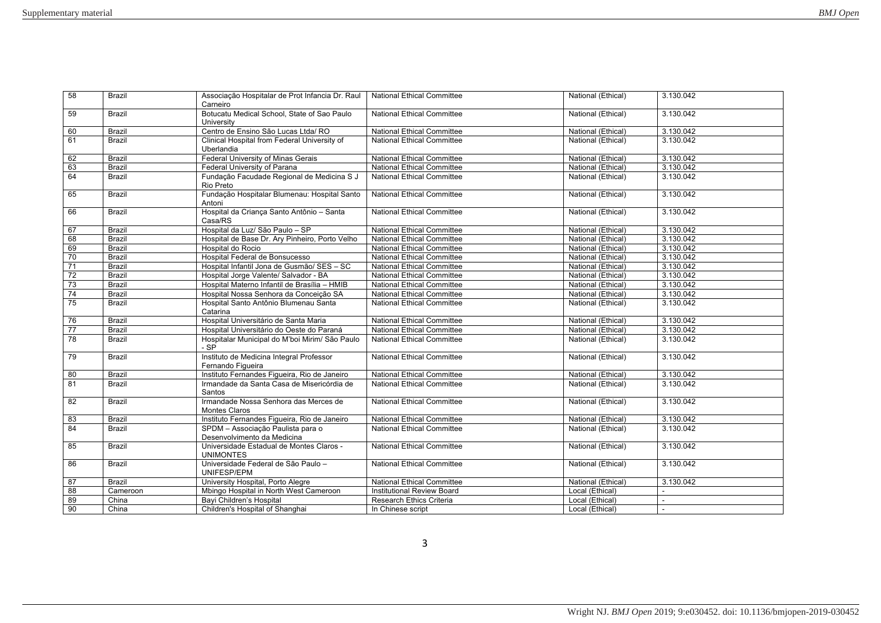| 58              | Brazil        | Associação Hospitalar de Prot Infancia Dr. Raul<br>Carneiro      | <b>National Ethical Committee</b> | National (Ethical)                       | 3.130.042      |
|-----------------|---------------|------------------------------------------------------------------|-----------------------------------|------------------------------------------|----------------|
| 59              | <b>Brazil</b> | Botucatu Medical School, State of Sao Paulo<br>University        | <b>National Ethical Committee</b> | National (Ethical)                       | 3.130.042      |
| 60              | Brazil        | Centro de Ensino São Lucas Ltda/RO                               | <b>National Ethical Committee</b> | National (Ethical)                       | 3.130.042      |
| 61              | Brazil        | Clinical Hospital from Federal University of                     | National Ethical Committee        | National (Ethical)                       | 3.130.042      |
|                 | <b>Brazil</b> | Uberlandia<br>Federal University of Minas Gerais                 | <b>National Ethical Committee</b> |                                          | 3.130.042      |
| 62<br>63        | <b>Brazil</b> | Federal University of Parana                                     | <b>National Ethical Committee</b> | National (Ethical)<br>National (Ethical) | 3.130.042      |
| 64              | Brazil        |                                                                  | <b>National Ethical Committee</b> |                                          |                |
|                 |               | Fundação Facudade Regional de Medicina S J<br>Rio Preto          |                                   | National (Ethical)                       | 3.130.042      |
| 65              | <b>Brazil</b> | Fundação Hospitalar Blumenau: Hospital Santo<br>Antoni           | <b>National Ethical Committee</b> | National (Ethical)                       | 3.130.042      |
| 66              | Brazil        | Hospital da Criança Santo Antônio - Santa<br>Casa/RS             | <b>National Ethical Committee</b> | National (Ethical)                       | 3.130.042      |
| 67              | <b>Brazil</b> | Hospital da Luz/ São Paulo - SP                                  | <b>National Ethical Committee</b> | National (Ethical)                       | 3.130.042      |
| 68              | Brazil        | Hospital de Base Dr. Ary Pinheiro, Porto Velho                   | <b>National Ethical Committee</b> | National (Ethical)                       | 3.130.042      |
| 69              | <b>Brazil</b> | Hospital do Rocio                                                | <b>National Ethical Committee</b> | National (Ethical)                       | 3.130.042      |
| 70              | <b>Brazil</b> | Hospital Federal de Bonsucesso                                   | <b>National Ethical Committee</b> | National (Ethical)                       | 3.130.042      |
| 71              | Brazil        | Hospital Infantil Jona de Gusmão/ SES - SC                       | <b>National Ethical Committee</b> | National (Ethical)                       | 3.130.042      |
| 72              | <b>Brazil</b> | Hospital Jorge Valente/ Salvador - BA                            | <b>National Ethical Committee</b> | National (Ethical)                       | 3.130.042      |
| 73              | Brazil        | Hospital Materno Infantil de Brasília - HMIB                     | <b>National Ethical Committee</b> | National (Ethical)                       | 3.130.042      |
| $\overline{74}$ | <b>Brazil</b> | Hospital Nossa Senhora da Conceição SA                           | <b>National Ethical Committee</b> | National (Ethical)                       | 3.130.042      |
| 75              | Brazil        | Hospital Santo Antônio Blumenau Santa<br>Catarina                | <b>National Ethical Committee</b> | National (Ethical)                       | 3.130.042      |
| 76              | <b>Brazil</b> | Hospital Universitário de Santa Maria                            | <b>National Ethical Committee</b> | National (Ethical)                       | 3.130.042      |
| $\overline{77}$ | <b>Brazil</b> | Hospital Universitário do Oeste do Paraná                        | <b>National Ethical Committee</b> | National (Ethical)                       | 3.130.042      |
| $\overline{78}$ | <b>Brazil</b> | Hospitalar Municipal do M'boi Mirim/ São Paulo<br>- SP           | <b>National Ethical Committee</b> | National (Ethical)                       | 3.130.042      |
| 79              | <b>Brazil</b> | Instituto de Medicina Integral Professor<br>Fernando Figueira    | <b>National Ethical Committee</b> | National (Ethical)                       | 3.130.042      |
| 80              | Brazil        | Instituto Fernandes Figueira, Rio de Janeiro                     | <b>National Ethical Committee</b> | National (Ethical)                       | 3.130.042      |
| 81              | <b>Brazil</b> | Irmandade da Santa Casa de Misericórdia de<br>Santos             | <b>National Ethical Committee</b> | National (Ethical)                       | 3.130.042      |
| 82              | <b>Brazil</b> | Irmandade Nossa Senhora das Merces de<br>Montes Claros           | <b>National Ethical Committee</b> | National (Ethical)                       | 3.130.042      |
| 83              | Brazil        | Instituto Fernandes Figueira, Rio de Janeiro                     | <b>National Ethical Committee</b> | National (Ethical)                       | 3.130.042      |
| 84              | Brazil        | SPDM - Associação Paulista para o<br>Desenvolvimento da Medicina | <b>National Ethical Committee</b> | National (Ethical)                       | 3.130.042      |
| 85              | <b>Brazil</b> | Universidade Estadual de Montes Claros -<br><b>UNIMONTES</b>     | <b>National Ethical Committee</b> | National (Ethical)                       | 3.130.042      |
| 86              | <b>Brazil</b> | Universidade Federal de São Paulo -<br>UNIFESP/EPM               | <b>National Ethical Committee</b> | National (Ethical)                       | 3.130.042      |
| 87              | Brazil        | University Hospital, Porto Alegre                                | <b>National Ethical Committee</b> | National (Ethical)                       | 3.130.042      |
| 88              | Cameroon      | Mbingo Hospital in North West Cameroon                           | Institutional Review Board        | Local (Ethical)                          |                |
| 89              | China         | Bayi Children's Hospital                                         | Research Ethics Criteria          | Local (Ethical)                          | $\blacksquare$ |
| 90              | China         | Children's Hospital of Shanghai                                  | In Chinese script                 | Local (Ethical)                          | ÷.             |
|                 |               |                                                                  |                                   |                                          |                |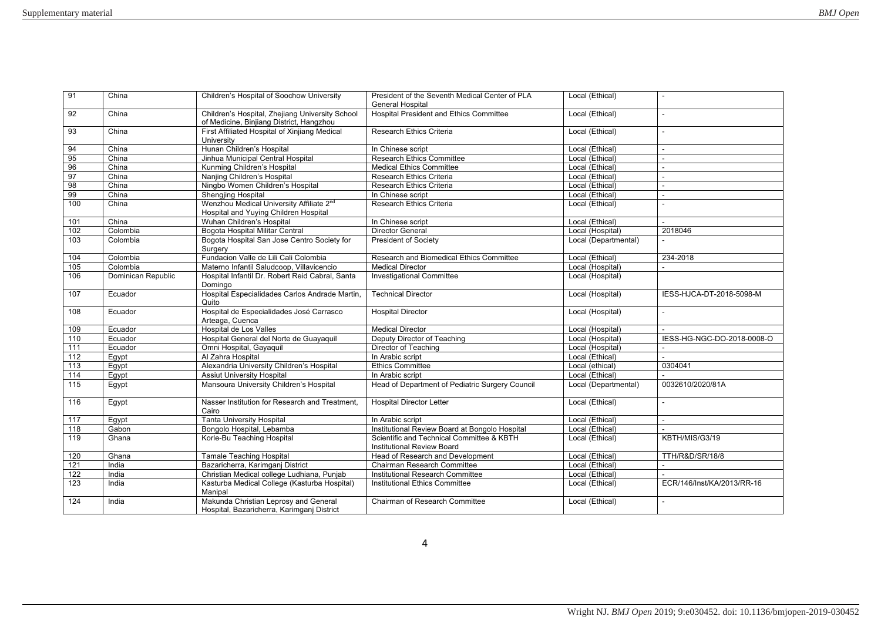| 91               | China              | Children's Hospital of Soochow University                                                     | President of the Seventh Medical Center of PLA<br><b>General Hospital</b>      | Local (Ethical)      |                            |
|------------------|--------------------|-----------------------------------------------------------------------------------------------|--------------------------------------------------------------------------------|----------------------|----------------------------|
| 92               | China              | Children's Hospital, Zhejiang University School<br>of Medicine, Binjiang District, Hangzhou   | <b>Hospital President and Ethics Committee</b>                                 | Local (Ethical)      | $\sim$                     |
| 93               | China              | First Affiliated Hospital of Xinjiang Medical<br>University                                   | Research Ethics Criteria                                                       | Local (Ethical)      | ÷.                         |
| 94               | China              | Hunan Children's Hospital                                                                     | In Chinese script                                                              | Local (Ethical)      | $\overline{a}$             |
| 95               | China              | Jinhua Municipal Central Hospital                                                             | <b>Research Ethics Committee</b>                                               | Local (Ethical)      |                            |
| 96               | China              | Kunming Children's Hospital                                                                   | <b>Medical Ethics Committee</b>                                                | Local (Ethical)      | $\sim$                     |
| 97               | China              | Nanjing Children's Hospital                                                                   | Research Ethics Criteria                                                       | Local (Ethical)      | $\sim$                     |
| 98               | China              | Ningbo Women Children's Hospital                                                              | Research Ethics Criteria                                                       | Local (Ethical)      |                            |
| 99               | China              | <b>Shengjing Hospital</b>                                                                     | In Chinese script                                                              | Local (Ethical)      | ÷.                         |
| 100              | China              | Wenzhou Medical University Affiliate 2 <sup>nd</sup><br>Hospital and Yuying Children Hospital | Research Ethics Criteria                                                       | Local (Ethical)      |                            |
| 101              | China              | Wuhan Children's Hospital                                                                     | In Chinese script                                                              | Local (Ethical)      | $\sim$                     |
| 102              | Colombia           | Bogota Hospital Militar Central                                                               | <b>Director General</b>                                                        | Local (Hospital)     | 2018046                    |
| 103              | Colombia           | Bogota Hospital San Jose Centro Society for<br>Surgery                                        | <b>President of Society</b>                                                    | Local (Departmental) |                            |
| 104              | Colombia           | Fundacion Valle de Lili Cali Colombia                                                         | Research and Biomedical Ethics Committee                                       | Local (Ethical)      | 234-2018                   |
| 105              | Colombia           | Materno Infantil Saludcoop, Villavicencio                                                     | <b>Medical Director</b>                                                        | Local (Hospital)     |                            |
| 106              | Dominican Republic | Hospital Infantil Dr. Robert Reid Cabral, Santa<br>Domingo                                    | <b>Investigational Committee</b>                                               | Local (Hospital)     |                            |
| 107              | Ecuador            | Hospital Especialidades Carlos Andrade Martin,<br>Quito                                       | <b>Technical Director</b>                                                      | Local (Hospital)     | IESS-HJCA-DT-2018-5098-M   |
| 108              | Ecuador            | Hospital de Especialidades José Carrasco<br>Arteaga, Cuenca                                   | <b>Hospital Director</b>                                                       | Local (Hospital)     |                            |
| 109              | Ecuador            | Hospital de Los Valles                                                                        | <b>Medical Director</b>                                                        | Local (Hospital)     |                            |
| 110              | Ecuador            | Hospital General del Norte de Guayaquil                                                       | Deputy Director of Teaching                                                    | Local (Hospital)     | IESS-HG-NGC-DO-2018-0008-O |
| $\overline{111}$ | Ecuador            | Omni Hospital, Gayaquil                                                                       | <b>Director of Teaching</b>                                                    | Local (Hospital)     |                            |
| 112              | Egypt              | Al Zahra Hospital                                                                             | In Arabic script                                                               | Local (Ethical)      |                            |
| 113              | Eqypt              | Alexandria University Children's Hospital                                                     | <b>Ethics Committee</b>                                                        | Local (ethical)      | 0304041                    |
| $\frac{114}{2}$  | Egypt              | <b>Assiut University Hospital</b>                                                             | In Arabic script                                                               | Local (Ethical)      |                            |
| 115              | Egypt              | Mansoura University Children's Hospital                                                       | Head of Department of Pediatric Surgery Council                                | Local (Departmental) | 0032610/2020/81A           |
| 116              | Egypt              | Nasser Institution for Research and Treatment.<br>Cairo                                       | <b>Hospital Director Letter</b>                                                | Local (Ethical)      |                            |
| 117              | Egypt              | <b>Tanta University Hospital</b>                                                              | In Arabic script                                                               | Local (Ethical)      | $\sim$                     |
| 118              | Gabon              | Bongolo Hospital, Lebamba                                                                     | Institutional Review Board at Bongolo Hospital                                 | Local (Ethical)      |                            |
| 119              | Ghana              | Korle-Bu Teaching Hospital                                                                    | Scientific and Technical Committee & KBTH<br><b>Institutional Review Board</b> | Local (Ethical)      | KBTH/MIS/G3/19             |
| 120              | Ghana              | <b>Tamale Teaching Hospital</b>                                                               | Head of Research and Development                                               | Local (Ethical)      | TTH/R&D/SR/18/8            |
| 121              | India              | Bazaricherra, Karimganj District                                                              | Chairman Research Committee                                                    | Local (Ethical)      |                            |
| 122              | India              | Christian Medical college Ludhiana, Punjab                                                    | Institutional Research Committee                                               | Local (Ethical)      |                            |
| 123              | India              | Kasturba Medical College (Kasturba Hospital)<br>Manipal                                       | <b>Institutional Ethics Committee</b>                                          | Local (Ethical)      | ECR/146/Inst/KA/2013/RR-16 |
| 124              | India              | Makunda Christian Leprosy and General<br>Hospital, Bazaricherra, Karimganj District           | Chairman of Research Committee                                                 | Local (Ethical)      |                            |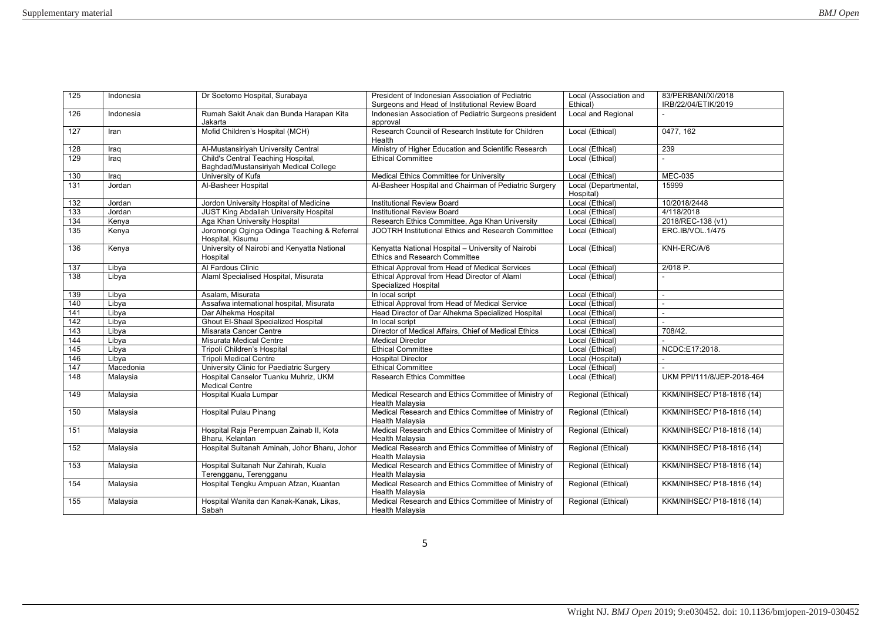| 125 | Indonesia | Dr Soetomo Hospital, Surabaya                                               | President of Indonesian Association of Pediatric                                    | Local (Association and            | 83/PERBANI/XI/2018         |
|-----|-----------|-----------------------------------------------------------------------------|-------------------------------------------------------------------------------------|-----------------------------------|----------------------------|
|     |           |                                                                             | Surgeons and Head of Institutional Review Board                                     | Ethical)                          | IRB/22/04/ETIK/2019        |
| 126 | Indonesia | Rumah Sakit Anak dan Bunda Harapan Kita<br>Jakarta                          | Indonesian Association of Pediatric Surgeons president<br>approval                  | Local and Regional                |                            |
| 127 | Iran      | Mofid Children's Hospital (MCH)                                             | Research Council of Research Institute for Children<br>Health                       | Local (Ethical)                   | 0477, 162                  |
| 128 | Iraq      | Al-Mustansiriyah University Central                                         | Ministry of Higher Education and Scientific Research                                | Local (Ethical)                   | 239                        |
| 129 | Iraq      | Child's Central Teaching Hospital,<br>Baghdad/Mustansiriyah Medical College | <b>Ethical Committee</b>                                                            | Local (Ethical)                   |                            |
| 130 | Iraq      | University of Kufa                                                          | Medical Ethics Committee for University                                             | Local (Ethical)                   | <b>MEC-035</b>             |
| 131 | Jordan    | Al-Basheer Hospital                                                         | Al-Basheer Hospital and Chairman of Pediatric Surgery                               | Local (Departmental,<br>Hospital) | 15999                      |
| 132 | Jordan    | Jordon University Hospital of Medicine                                      | Institutional Review Board                                                          | Local (Ethical)                   | 10/2018/2448               |
| 133 | Jordan    | JUST King Abdallah University Hospital                                      | <b>Institutional Review Board</b>                                                   | Local (Ethical)                   | 4/118/2018                 |
| 134 | Kenya     | Aga Khan University Hospital                                                | Research Ethics Committee, Aga Khan University                                      | Local (Ethical)                   | 2018/REC-138 (v1)          |
| 135 | Kenya     | Joromongi Oginga Odinga Teaching & Referral<br>Hospital, Kisumu             | JOOTRH Institutional Ethics and Research Committee                                  | Local (Ethical)                   | <b>ERC.IB/VOL.1/475</b>    |
| 136 | Kenya     | University of Nairobi and Kenyatta National<br>Hospital                     | Kenyatta National Hospital - University of Nairobi<br>Ethics and Research Committee | Local (Ethical)                   | KNH-ERC/A/6                |
| 137 | Libya     | Al Fardous Clinic                                                           | Ethical Approval from Head of Medical Services                                      | Local (Ethical)                   | 2/018 P.                   |
| 138 | Libya     | Alaml Specialised Hospital, Misurata                                        | Ethical Approval from Head Director of Alaml<br>Specialized Hospital                | Local (Ethical)                   |                            |
| 139 | Libya     | Asalam, Misurata                                                            | In local script                                                                     | Local (Ethical)                   |                            |
| 140 | Libya     | Assafwa international hospital, Misurata                                    | Ethical Approval from Head of Medical Service                                       | Local (Ethical)                   |                            |
| 141 | Libya     | Dar Alhekma Hospital                                                        | Head Director of Dar Alhekma Specialized Hospital                                   | Local (Ethical)                   | $\sim$                     |
| 142 | Libya     | <b>Ghout El-Shaal Specialized Hospital</b>                                  | In local script                                                                     | Local (Ethical)                   |                            |
| 143 | Libva     | Misarata Cancer Centre                                                      | Director of Medical Affairs, Chief of Medical Ethics                                | Local (Ethical)                   | 708/42.                    |
| 144 | Libya     | Misurata Medical Centre                                                     | <b>Medical Director</b>                                                             | Local (Ethical)                   |                            |
| 145 | Libya     | Tripoli Children's Hospital                                                 | <b>Ethical Committee</b>                                                            | Local (Ethical)                   | NCDC:E17:2018.             |
| 146 | Libya     | <b>Tripoli Medical Centre</b>                                               | <b>Hospital Director</b>                                                            | Local (Hospital)                  |                            |
| 147 | Macedonia | University Clinic for Paediatric Surgery                                    | <b>Ethical Committee</b>                                                            | Local (Ethical)                   |                            |
| 148 | Malaysia  | Hospital Canselor Tuanku Muhriz, UKM<br><b>Medical Centre</b>               | Research Ethics Committee                                                           | Local (Ethical)                   | UKM PPI/111/8/JEP-2018-464 |
| 149 | Malaysia  | Hospital Kuala Lumpar                                                       | Medical Research and Ethics Committee of Ministry of<br><b>Health Malaysia</b>      | Regional (Ethical)                | KKM/NIHSEC/ P18-1816 (14)  |
| 150 | Malaysia  | <b>Hospital Pulau Pinang</b>                                                | Medical Research and Ethics Committee of Ministry of<br><b>Health Malaysia</b>      | Regional (Ethical)                | KKM/NIHSEC/ P18-1816 (14)  |
| 151 | Malaysia  | Hospital Raja Perempuan Zainab II, Kota<br>Bharu, Kelantan                  | Medical Research and Ethics Committee of Ministry of<br><b>Health Malaysia</b>      | Regional (Ethical)                | KKM/NIHSEC/ P18-1816 (14)  |
| 152 | Malaysia  | Hospital Sultanah Aminah, Johor Bharu, Johor                                | Medical Research and Ethics Committee of Ministry of<br><b>Health Malaysia</b>      | Regional (Ethical)                | KKM/NIHSEC/ P18-1816 (14)  |
| 153 | Malaysia  | Hospital Sultanah Nur Zahirah, Kuala<br>Terengganu, Terengganu              | Medical Research and Ethics Committee of Ministry of<br><b>Health Malaysia</b>      | Regional (Ethical)                | KKM/NIHSEC/ P18-1816 (14)  |
| 154 | Malaysia  | Hospital Tengku Ampuan Afzan, Kuantan                                       | Medical Research and Ethics Committee of Ministry of<br>Health Malaysia             | Regional (Ethical)                | KKM/NIHSEC/ P18-1816 (14)  |
| 155 | Malaysia  | Hospital Wanita dan Kanak-Kanak, Likas,<br>Sabah                            | Medical Research and Ethics Committee of Ministry of<br>Health Malaysia             | Regional (Ethical)                | KKM/NIHSEC/ P18-1816 (14)  |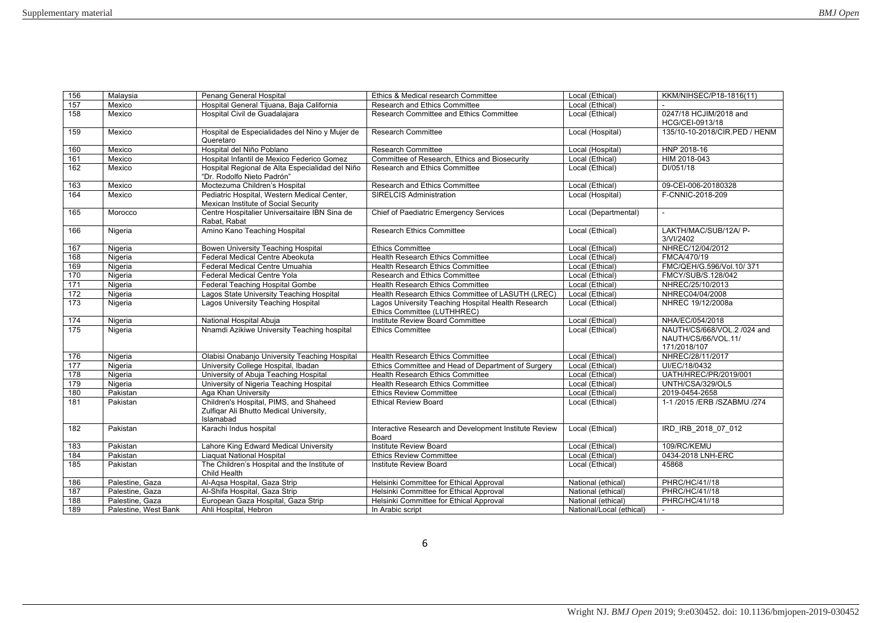| 156              | Malaysia             | Penang General Hospital                                                                        | Ethics & Medical research Committee                                               | Local (Ethical)          | KKM/NIHSEC/P18-1816(11)                                            |
|------------------|----------------------|------------------------------------------------------------------------------------------------|-----------------------------------------------------------------------------------|--------------------------|--------------------------------------------------------------------|
| 157              | Mexico               | Hospital General Tijuana, Baja California                                                      | Research and Ethics Committee                                                     | Local (Ethical)          |                                                                    |
| 158              | Mexico               | Hospital Civil de Guadalajara                                                                  | Research Committee and Ethics Committee                                           | Local (Ethical)          | 0247/18 HCJIM/2018 and<br>HCG/CEI-0913/18                          |
| 159              | Mexico               | Hospital de Especialidades del Nino y Mujer de                                                 | <b>Research Committee</b>                                                         | Local (Hospital)         | 135/10-10-2018/CIR.PED / HENM                                      |
|                  |                      | Queretaro                                                                                      |                                                                                   |                          |                                                                    |
| 160              | Mexico               | Hospital del Niño Poblano                                                                      | <b>Research Committee</b>                                                         | Local (Hospital)         | HNP 2018-16                                                        |
| 161              | Mexico               | Hospital Infantil de Mexico Federico Gomez                                                     | Committee of Research, Ethics and Biosecurity                                     | Local (Ethical)          | HIM 2018-043                                                       |
| 162              | Mexico               | Hospital Regional de Alta Especialidad del Niño<br>"Dr. Rodolfo Nieto Padrón"                  | Research and Ethics Committee                                                     | Local (Ethical)          | DI/051/18                                                          |
| 163              | Mexico               | Moctezuma Children's Hospital                                                                  | Research and Ethics Committee                                                     | Local (Ethical)          | 09-CEI-006-20180328                                                |
| 164              | Mexico               | Pediatric Hospital, Western Medical Center,<br>Mexican Institute of Social Security            | <b>SIRELCIS Administration</b>                                                    | Local (Hospital)         | F-CNNIC-2018-209                                                   |
| 165              | Morocco              | Centre Hospitalier Universaitaire IBN Sina de<br>Rabat, Rabat                                  | <b>Chief of Paediatric Emergency Services</b>                                     | Local (Departmental)     |                                                                    |
| 166              | Nigeria              | Amino Kano Teaching Hospital                                                                   | <b>Research Ethics Committee</b>                                                  | Local (Ethical)          | LAKTH/MAC/SUB/12A/ P-<br>3/VI/2402                                 |
| 167              | Nigeria              | Bowen University Teaching Hospital                                                             | <b>Ethics Committee</b>                                                           | Local (Ethical)          | NHREC/12/04/2012                                                   |
| 168              | Nigeria              | Federal Medical Centre Abeokuta                                                                | <b>Health Research Ethics Committee</b>                                           | Local (Ethical)          | FMCA/470/19                                                        |
| 169              | Nigeria              | Federal Medical Centre Umuahia                                                                 | <b>Health Research Ethics Committee</b>                                           | Local (Ethical)          | FMC/QEH/G.596/Vol.10/371                                           |
| 170              | Nigeria              | Federal Medical Centre Yola                                                                    | Research and Ethics Committee                                                     | Local (Ethical)          | FMCY/SUB/S.128/042                                                 |
| 171              | Nigeria              | Federal Teaching Hospital Gombe                                                                | <b>Health Research Ethics Committee</b>                                           | Local (Ethical)          | NHREC/25/10/2013                                                   |
| 172              | Nigeria              | Lagos State University Teaching Hospital                                                       | Health Research Ethics Committee of LASUTH (LREC)                                 | Local (Ethical)          | NHREC04/04/2008                                                    |
| $\overline{173}$ | Nigeria              | Lagos University Teaching Hospital                                                             | Lagos University Teaching Hospital Health Research<br>Ethics Committee (LUTHHREC) | Local (Ethical)          | NHREC 19/12/2008a                                                  |
| 174              | Nigeria              | National Hospital Abuja                                                                        | Institute Review Board Committee                                                  | Local (Ethical)          | NHA/EC/054/2018                                                    |
| 175              | Nigeria              | Nnamdi Azikiwe University Teaching hospital                                                    | <b>Ethics Committee</b>                                                           | Local (Ethical)          | NAUTH/CS/668/VOL.2 /024 and<br>NAUTH/CS/66/VOL.11/<br>171/2018/107 |
| 176              | Nigeria              | Olabisi Onabanjo University Teaching Hospital                                                  | <b>Health Research Ethics Committee</b>                                           | Local (Ethical)          | NHREC/28/11/2017                                                   |
| 177              | Nigeria              | University College Hospital, Ibadan                                                            | Ethics Committee and Head of Department of Surgery                                | Local (Ethical)          | UI/EC/18/0432                                                      |
| 178              | Nigeria              | University of Abuja Teaching Hospital                                                          | <b>Health Research Ethics Committee</b>                                           | Local (Ethical)          | <b>UATH/HREC/PR/2019/001</b>                                       |
| 179              | Nigeria              | University of Nigeria Teaching Hospital                                                        | <b>Health Research Ethics Committee</b>                                           | Local (Ethical)          | UNTH/CSA/329/OL5                                                   |
| 180              | Pakistan             | Aga Khan University                                                                            | <b>Ethics Review Committee</b>                                                    | Local (Ethical)          | 2019-0454-2658                                                     |
| 181              | Pakistan             | Children's Hospital, PIMS, and Shaheed<br>Zulfigar Ali Bhutto Medical University,<br>Islamabad | <b>Ethical Review Board</b>                                                       | Local (Ethical)          | 1-1/2015 / ERB / SZABMU / 274                                      |
| 182              | Pakistan             | Karachi Indus hospital                                                                         | Interactive Research and Development Institute Review<br>Board                    | Local (Ethical)          | IRD IRB 2018 07 012                                                |
| 183              | Pakistan             | Lahore King Edward Medical University                                                          | Institute Review Board                                                            | Local (Ethical)          | 109/RC/KEMU                                                        |
| 184              | Pakistan             | <b>Liaquat National Hospital</b>                                                               | <b>Ethics Review Committee</b>                                                    | Local (Ethical)          | 0434-2018 LNH-ERC                                                  |
| 185              | Pakistan             | The Children's Hospital and the Institute of<br>Child Health                                   | Institute Review Board                                                            | Local (Ethical)          | 45868                                                              |
| 186              | Palestine, Gaza      | Al-Aqsa Hospital, Gaza Strip                                                                   | Helsinki Committee for Ethical Approval                                           | National (ethical)       | PHRC/HC/41//18                                                     |
| 187              | Palestine, Gaza      | Al-Shifa Hospital, Gaza Strip                                                                  | Helsinki Committee for Ethical Approval                                           | National (ethical)       | <b>PHRC/HC/41//18</b>                                              |
| 188              | Palestine, Gaza      | European Gaza Hospital, Gaza Strip                                                             | Helsinki Committee for Ethical Approval                                           | National (ethical)       | PHRC/HC/41//18                                                     |
| 189              | Palestine, West Bank | Ahli Hospital, Hebron                                                                          | In Arabic script                                                                  | National/Local (ethical) |                                                                    |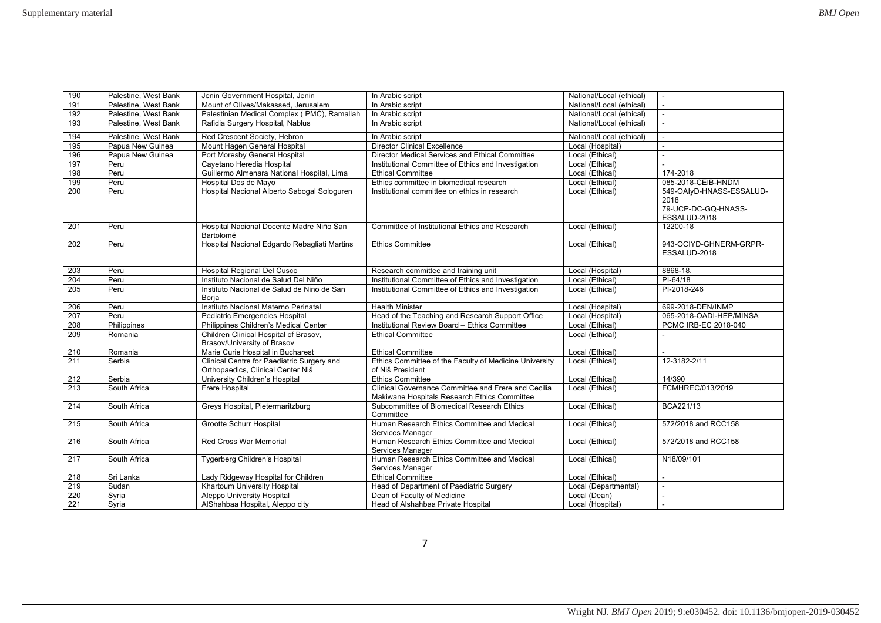|                  | Palestine, West Bank | Jenin Government Hospital, Jenin                    |                                                        | National/Local (ethical) | $\sim$                   |
|------------------|----------------------|-----------------------------------------------------|--------------------------------------------------------|--------------------------|--------------------------|
| 190<br>191       | Palestine, West Bank | Mount of Olives/Makassed, Jerusalem                 | In Arabic script<br>In Arabic script                   | National/Local (ethical) |                          |
| 192              | Palestine, West Bank | Palestinian Medical Complex (PMC), Ramallah         | In Arabic script                                       | National/Local (ethical) |                          |
| 193              | Palestine, West Bank | Rafidia Surgery Hospital, Nablus                    | In Arabic script                                       | National/Local (ethical) |                          |
|                  |                      |                                                     |                                                        |                          |                          |
| 194              | Palestine, West Bank | Red Crescent Society, Hebron                        | In Arabic script                                       | National/Local (ethical) |                          |
| 195              | Papua New Guinea     | Mount Hagen General Hospital                        | <b>Director Clinical Excellence</b>                    | Local (Hospital)         |                          |
| 196              | Papua New Guinea     | Port Moresby General Hospital                       | Director Medical Services and Ethical Committee        | Local (Ethical)          | ÷.                       |
| 197              | Peru                 | Cavetano Heredia Hospital                           | Institutional Committee of Ethics and Investigation    | Local (Ethical)          | $\sim$                   |
| 198              | Peru                 | Guillermo Almenara National Hospital, Lima          | <b>Ethical Committee</b>                               | Local (Ethical)          | 174-2018                 |
| 199              | Peru                 | Hospital Dos de Mayo                                | Ethics committee in biomedical research                | Local (Ethical)          | 085-2018-CEIB-HNDM       |
| 200              | Peru                 | Hospital Nacional Alberto Sabogal Sologuren         | Institutional committee on ethics in research          | Local (Ethical)          | 549-OAIyD-HNASS-ESSALUD- |
|                  |                      |                                                     |                                                        |                          | 2018                     |
|                  |                      |                                                     |                                                        |                          | 79-UCP-DC-GQ-HNASS-      |
|                  |                      |                                                     |                                                        |                          | ESSALUD-2018             |
| 201              | Peru                 | Hospital Nacional Docente Madre Niño San            | Committee of Institutional Ethics and Research         | Local (Ethical)          | 12200-18                 |
|                  |                      | Bartolomé                                           |                                                        |                          |                          |
| $\overline{202}$ | Peru                 | Hospital Nacional Edgardo Rebagliati Martins        | <b>Ethics Committee</b>                                | Local (Ethical)          | 943-OCIYD-GHNERM-GRPR-   |
|                  |                      |                                                     |                                                        |                          | ESSALUD-2018             |
|                  |                      |                                                     |                                                        |                          |                          |
| 203              | Peru                 | Hospital Regional Del Cusco                         | Research committee and training unit                   | Local (Hospital)         | 8868-18.                 |
| 204              | Peru                 | Instituto Nacional de Salud Del Niño                | Institutional Committee of Ethics and Investigation    | Local (Ethical)          | $PI-64/18$               |
| 205              | Peru                 | Instituto Nacional de Salud de Nino de San<br>Borja | Institutional Committee of Ethics and Investigation    | Local (Ethical)          | PI-2018-246              |
| 206              | Peru                 | Instituto Nacional Materno Perinatal                | <b>Health Minister</b>                                 | Local (Hospital)         | 699-2018-DEN/INMP        |
| 207              | Peru                 | Pediatric Emergencies Hospital                      | Head of the Teaching and Research Support Office       | Local (Hospital)         | 065-2018-OADI-HEP/MINSA  |
| 208              | Philippines          | Philippines Children's Medical Center               | Institutional Review Board - Ethics Committee          | Local (Ethical)          | PCMC IRB-EC 2018-040     |
| 209              | Romania              | Children Clinical Hospital of Brasov,               | <b>Ethical Committee</b>                               | Local (Ethical)          |                          |
|                  |                      | Brasov/University of Brasov                         |                                                        |                          |                          |
| 210              | Romania              | Marie Curie Hospital in Bucharest                   | <b>Ethical Committee</b>                               | Local (Ethical)          | ÷.                       |
| 211              | Serbia               | Clinical Centre for Paediatric Surgery and          | Ethics Committee of the Faculty of Medicine University | Local (Ethical)          | 12-3182-2/11             |
|                  |                      | Orthopaedics, Clinical Center Niš                   | of Niš President                                       |                          |                          |
| 212              | Serbia               | University Children's Hospital                      | <b>Ethics Committee</b>                                | Local (Ethical)          | 14/390                   |
| 213              | South Africa         | Frere Hospital                                      | Clinical Governance Committee and Frere and Cecilia    | Local (Ethical)          | FCMHREC/013/2019         |
|                  |                      |                                                     | Makiwane Hospitals Research Ethics Committee           |                          |                          |
| 214              | South Africa         | Greys Hospital, Pietermaritzburg                    | Subcommittee of Biomedical Research Ethics             | Local (Ethical)          | BCA221/13                |
|                  |                      |                                                     | Committee                                              |                          |                          |
| 215              | South Africa         | Grootte Schurr Hospital                             | Human Research Ethics Committee and Medical            | Local (Ethical)          | 572/2018 and RCC158      |
|                  |                      |                                                     | Services Manager                                       |                          |                          |
| 216              | South Africa         | <b>Red Cross War Memorial</b>                       | Human Research Ethics Committee and Medical            | Local (Ethical)          | 572/2018 and RCC158      |
|                  |                      |                                                     | Services Manager                                       |                          |                          |
| $\overline{217}$ | South Africa         | Tygerberg Children's Hospital                       | Human Research Ethics Committee and Medical            | Local (Ethical)          | N18/09/101               |
|                  |                      |                                                     | Services Manager                                       |                          |                          |
| 218              | Sri Lanka            | Lady Ridgeway Hospital for Children                 | <b>Ethical Committee</b>                               | Local (Ethical)          |                          |
| 219              | Sudan                | Khartoum University Hospital                        | Head of Department of Paediatric Surgery               | Local (Departmental)     | $\sim$                   |
| 220<br>221       | Syria                | <b>Aleppo University Hospital</b>                   | Dean of Faculty of Medicine                            | Local (Dean)             | $\blacksquare$           |
|                  | Syria                | AlShahbaa Hospital, Aleppo city                     | Head of Alshahbaa Private Hospital                     | Local (Hospital)         |                          |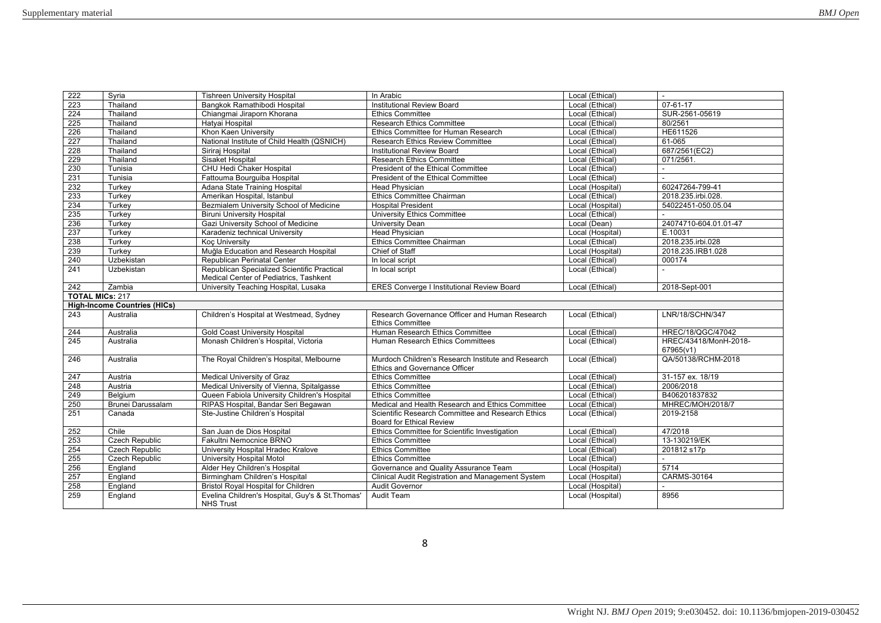| 222                    | Syria                               | <b>Tishreen University Hospital</b>          | In Arabic                                                                            | Local (Ethical)  | ÷.                                 |
|------------------------|-------------------------------------|----------------------------------------------|--------------------------------------------------------------------------------------|------------------|------------------------------------|
| 223                    | Thailand                            | Bangkok Ramathibodi Hospital                 | <b>Institutional Review Board</b>                                                    | Local (Ethical)  | $07 - 61 - 17$                     |
| 224                    | Thailand                            | Chiangmai Jiraporn Khorana                   | <b>Ethics Committee</b>                                                              | Local (Ethical)  | SUR-2561-05619                     |
| 225                    | Thailand                            | Hatyai Hospital                              | <b>Research Ethics Committee</b>                                                     | Local (Ethical)  | 80/2561                            |
| 226                    | Thailand                            | Khon Kaen University                         | Ethics Committee for Human Research                                                  | Local (Ethical)  | HE611526                           |
| 227                    | Thailand                            | National Institute of Child Health (QSNICH)  | <b>Research Ethics Review Committee</b>                                              | Local (Ethical)  | 61-065                             |
| 228                    | Thailand                            | Siriraj Hospital                             | Institutional Review Board                                                           | Local (Ethical)  | 687/2561(EC2)                      |
| 229                    | Thailand                            | Sisaket Hospital                             | <b>Research Ethics Committee</b>                                                     | Local (Ethical)  | 071/2561.                          |
| 230                    | Tunisia                             | CHU Hedi Chaker Hospital                     | President of the Ethical Committee                                                   | Local (Ethical)  | $\sim$                             |
| 231                    | Tunisia                             | Fattouma Bourquiba Hospital                  | President of the Ethical Committee                                                   | Local (Ethical)  |                                    |
| 232                    | Turkey                              | Adana State Training Hospital                | <b>Head Physician</b>                                                                | Local (Hospital) | 60247264-799-41                    |
| 233                    | Turkey                              | Amerikan Hospital, Istanbul                  | Ethics Committee Chairman                                                            | Local (Ethical)  | 2018.235.irbi.028.                 |
| 234                    | Turkev                              | Bezmialem University School of Medicine      | <b>Hospital President</b>                                                            | Local (Hospital) | 54022451-050.05.04                 |
| 235                    | Turkey                              | <b>Biruni University Hospital</b>            | University Ethics Committee                                                          | Local (Ethical)  |                                    |
| 236                    | Turkey                              | Gazi University School of Medicine           | <b>University Dean</b>                                                               | Local (Dean)     | 24074710-604.01.01-47              |
| 237                    | Turkey                              | Karadeniz technical University               | <b>Head Physician</b>                                                                | Local (Hospital) | E.10031                            |
| 238                    | Turkey                              | <b>Koc University</b>                        | Ethics Committee Chairman                                                            | Local (Ethical)  | 2018.235.irbi.028                  |
| 239                    | Turkev                              | Muğla Education and Research Hospital        | Chief of Staff                                                                       | Local (Hospital) | 2018.235.IRB1.028                  |
| 240                    | Uzbekistan                          | Republican Perinatal Center                  | In local script                                                                      | Local (Ethical)  | 000174                             |
| 241                    | Uzbekistan                          | Republican Specialized Scientific Practical  | In local script                                                                      | Local (Ethical)  | ÷.                                 |
|                        |                                     | Medical Center of Pediatrics. Tashkent       |                                                                                      |                  |                                    |
| 242                    | Zambia                              | University Teaching Hospital, Lusaka         | <b>ERES Converge I Institutional Review Board</b>                                    | Local (Ethical)  | 2018-Sept-001                      |
| <b>TOTAL MICs: 217</b> |                                     |                                              |                                                                                      |                  |                                    |
|                        | <b>High-Income Countries (HICs)</b> |                                              |                                                                                      |                  |                                    |
| 243                    | Australia                           | Children's Hospital at Westmead, Sydney      | Research Governance Officer and Human Research<br><b>Ethics Committee</b>            | Local (Ethical)  | LNR/18/SCHN/347                    |
| 244                    | Australia                           | <b>Gold Coast University Hospital</b>        | Human Research Ethics Committee                                                      | Local (Ethical)  | HREC/18/QGC/47042                  |
| 245                    | Australia                           | Monash Children's Hospital, Victoria         | Human Research Ethics Committees                                                     | Local (Ethical)  | HREC/43418/MonH-2018-<br>67965(v1) |
| 246                    | Australia                           | The Royal Children's Hospital, Melbourne     | Murdoch Children's Research Institute and Research<br>Ethics and Governance Officer  | Local (Ethical)  | QA/50138/RCHM-2018                 |
| 247                    | Austria                             |                                              |                                                                                      |                  |                                    |
| 248                    |                                     | Medical University of Graz                   | <b>Ethics Committee</b>                                                              | Local (Ethical)  | 31-157 ex. 18/19                   |
| 249                    | Austria                             | Medical University of Vienna, Spitalgasse    | <b>Ethics Committee</b>                                                              | Local (Ethical)  | 2006/2018                          |
|                        | Belaium                             | Queen Fabiola University Children's Hospital | <b>Ethics Committee</b>                                                              | Local (Ethical)  | B406201837832                      |
|                        | <b>Brunei Darussalam</b>            | RIPAS Hospital, Bandar Seri Begawan          | Medical and Health Research and Ethics Committee                                     | Local (Ethical)  | MHREC/MOH/2018/7                   |
| 250<br>251             | Canada                              | Ste-Justine Children's Hospital              | Scientific Research Committee and Research Ethics<br><b>Board for Ethical Review</b> | Local (Ethical)  | 2019-2158                          |
| 252                    | Chile                               | San Juan de Dios Hospital                    |                                                                                      | Local (Ethical)  | 47/2018                            |
| 253                    | <b>Czech Republic</b>               | Fakultni Nemocnice BRNO                      | Ethics Committee for Scientific Investigation<br><b>Ethics Committee</b>             | Local (Ethical)  | 13-130219/EK                       |
| 254                    | <b>Czech Republic</b>               | University Hospital Hradec Kralove           | <b>Ethics Committee</b>                                                              | Local (Ethical)  | 201812 s17p                        |
| 255                    | <b>Czech Republic</b>               | University Hospital Motol                    | <b>Ethics Committee</b>                                                              | Local (Ethical)  |                                    |
| 256                    | England                             | Alder Hey Children's Hospital                | Governance and Quality Assurance Team                                                | Local (Hospital) | 5714                               |
| 257                    | England                             | Birmingham Children's Hospital               | Clinical Audit Registration and Management System                                    | Local (Hospital) | CARMS-30164                        |
| 258                    | England                             | <b>Bristol Royal Hospital for Children</b>   | <b>Audit Governor</b>                                                                | Local (Hospital) |                                    |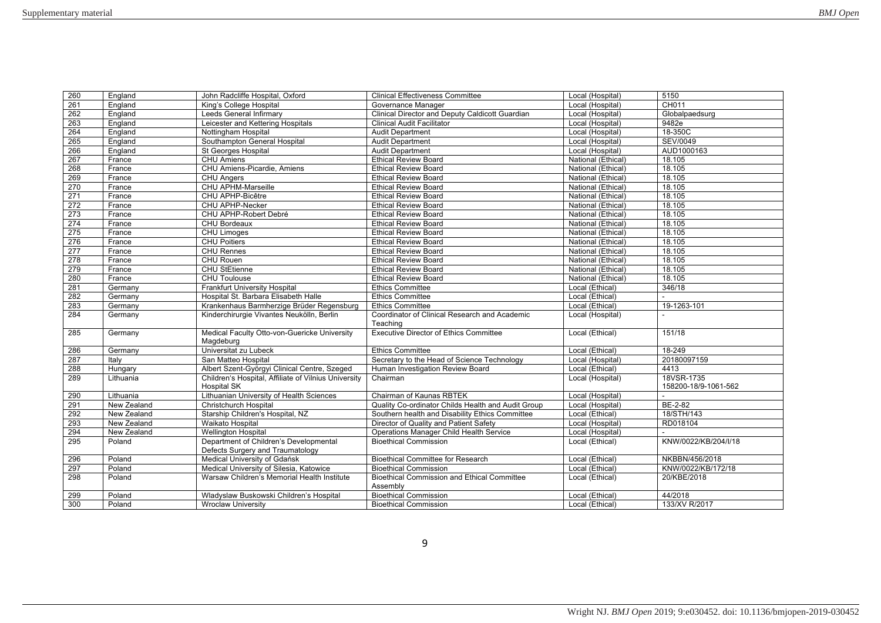| 260 | England     | John Radcliffe Hospital, Oxford                                            | <b>Clinical Effectiveness Committee</b>                        | Local (Hospital)   | 5150                               |
|-----|-------------|----------------------------------------------------------------------------|----------------------------------------------------------------|--------------------|------------------------------------|
| 261 | England     | King's College Hospital                                                    | Governance Manager                                             | Local (Hospital)   | CH011                              |
| 262 | England     | Leeds General Infirmary                                                    | Clinical Director and Deputy Caldicott Guardian                | Local (Hospital)   | Globalpaedsurg                     |
| 263 | England     | Leicester and Kettering Hospitals                                          | <b>Clinical Audit Facilitator</b>                              | Local (Hospital)   | 9482e                              |
| 264 | England     | Nottingham Hospital                                                        | <b>Audit Department</b>                                        | Local (Hospital)   | 18-350C                            |
| 265 | England     | Southampton General Hospital                                               | <b>Audit Department</b>                                        | Local (Hospital)   | <b>SEV/0049</b>                    |
| 266 | England     | <b>St Georges Hospital</b>                                                 | <b>Audit Department</b>                                        | Local (Hospital)   | AUD1000163                         |
| 267 | France      | <b>CHU Amiens</b>                                                          | <b>Ethical Review Board</b>                                    | National (Ethical) | 18.105                             |
| 268 | France      | CHU Amiens-Picardie, Amiens                                                | <b>Ethical Review Board</b>                                    | National (Ethical) | 18.105                             |
| 269 | France      | CHU Angers                                                                 | <b>Ethical Review Board</b>                                    | National (Ethical) | 18.105                             |
| 270 | France      | CHU APHM-Marseille                                                         | <b>Ethical Review Board</b>                                    | National (Ethical) | 18.105                             |
| 271 | France      | CHU APHP-Bicêtre                                                           | <b>Ethical Review Board</b>                                    | National (Ethical) | 18.105                             |
| 272 | France      | <b>CHU APHP-Necker</b>                                                     | <b>Ethical Review Board</b>                                    | National (Ethical) | 18.105                             |
| 273 | France      | CHU APHP-Robert Debré                                                      | <b>Ethical Review Board</b>                                    | National (Ethical) | 18.105                             |
| 274 | France      | <b>CHU Bordeaux</b>                                                        | <b>Ethical Review Board</b>                                    | National (Ethical) | 18.105                             |
| 275 | France      | CHU Limoges                                                                | <b>Ethical Review Board</b>                                    | National (Ethical) | 18.105                             |
| 276 | France      | <b>CHU Poitiers</b>                                                        | <b>Ethical Review Board</b>                                    | National (Ethical) | 18.105                             |
| 277 | France      | <b>CHU Rennes</b>                                                          | <b>Ethical Review Board</b>                                    | National (Ethical) | 18.105                             |
| 278 | France      | CHU Rouen                                                                  | <b>Ethical Review Board</b>                                    | National (Ethical) | 18.105                             |
| 279 | France      | <b>CHU StEtienne</b>                                                       | <b>Ethical Review Board</b>                                    | National (Ethical) | 18.105                             |
| 280 | France      | <b>CHU Toulouse</b>                                                        | <b>Ethical Review Board</b>                                    | National (Ethical) | 18.105                             |
| 281 | Germany     | <b>Frankfurt University Hospital</b>                                       | <b>Ethics Committee</b>                                        | Local (Ethical)    | 346/18                             |
| 282 | Germany     | Hospital St. Barbara Elisabeth Halle                                       | <b>Ethics Committee</b>                                        | Local (Ethical)    |                                    |
| 283 | Germany     | Krankenhaus Barmherzige Brüder Regensburg                                  | <b>Ethics Committee</b>                                        | Local (Ethical)    | 19-1263-101                        |
| 284 | Germany     | Kinderchirurgie Vivantes Neukölln, Berlin                                  | Coordinator of Clinical Research and Academic                  | Local (Hospital)   |                                    |
|     |             |                                                                            | Teaching                                                       |                    |                                    |
| 285 | Germany     | Medical Faculty Otto-von-Guericke University<br>Magdeburg                  | <b>Executive Director of Ethics Committee</b>                  | Local (Ethical)    | 151/18                             |
| 286 | Germany     | Universitat zu Lubeck                                                      | <b>Ethics Committee</b>                                        | Local (Ethical)    | 18-249                             |
| 287 | Italy       | San Matteo Hospital                                                        | Secretary to the Head of Science Technology                    | Local (Hospital)   | 20180097159                        |
| 288 | Hungary     | Albert Szent-Györgyi Clinical Centre, Szeged                               | Human Investigation Review Board                               | Local (Ethical)    | 4413                               |
| 289 | Lithuania   | Children's Hospital, Affiliate of Vilnius University<br><b>Hospital SK</b> | Chairman                                                       | Local (Hospital)   | 18VSR-1735<br>158200-18/9-1061-562 |
| 290 | Lithuania   | Lithuanian University of Health Sciences                                   | Chairman of Kaunas RBTEK                                       | Local (Hospital)   |                                    |
| 291 | New Zealand | Christchurch Hospital                                                      | Quality Co-ordinator Childs Health and Audit Group             | Local (Hospital)   | BE-2-82                            |
| 292 | New Zealand | Starship Children's Hospital, NZ                                           | Southern health and Disability Ethics Committee                | Local (Ethical)    | 18/STH/143                         |
| 293 | New Zealand | Waikato Hospital                                                           | Director of Quality and Patient Safety                         | Local (Hospital)   | RD018104                           |
| 294 | New Zealand | <b>Wellington Hospital</b>                                                 | Operations Manager Child Health Service                        | Local (Hospital)   |                                    |
| 295 | Poland      | Department of Children's Developmental                                     | <b>Bioethical Commission</b>                                   | Local (Ethical)    | KNW/0022/KB/204/I/18               |
|     |             | Defects Surgery and Traumatology                                           |                                                                |                    |                                    |
| 296 | Poland      | Medical University of Gdańsk                                               | <b>Bioethical Committee for Research</b>                       | Local (Ethical)    | NKBBN/456/2018                     |
| 297 | Poland      | Medical University of Silesia, Katowice                                    | <b>Bioethical Commission</b>                                   | Local (Ethical)    | KNW/0022/KB/172/18                 |
| 298 | Poland      | Warsaw Children's Memorial Health Institute                                | <b>Bioethical Commission and Ethical Committee</b><br>Assembly | Local (Ethical)    | 20/KBE/2018                        |
| 299 | Poland      | Wladyslaw Buskowski Children's Hospital                                    | <b>Bioethical Commission</b>                                   | Local (Ethical)    | 44/2018                            |
| 300 | Poland      | <b>Wroclaw University</b>                                                  | <b>Bioethical Commission</b>                                   | Local (Ethical)    | 133/XV R/2017                      |
|     |             |                                                                            |                                                                |                    |                                    |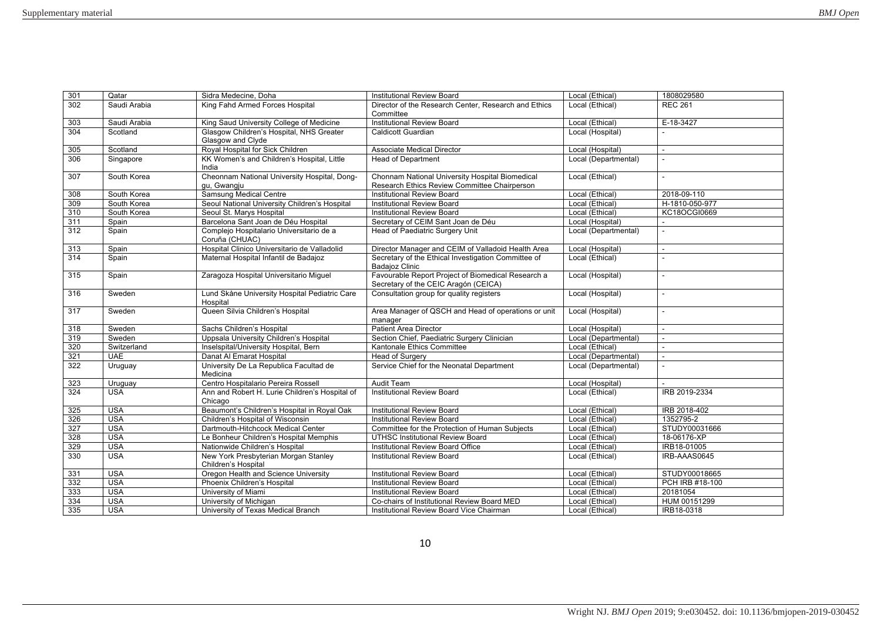| 301              | Qatar        | Sidra Medecine, Doha                                       | <b>Institutional Review Board</b>                              | Local (Ethical)      | 1808029580      |
|------------------|--------------|------------------------------------------------------------|----------------------------------------------------------------|----------------------|-----------------|
| 302              | Saudi Arabia | King Fahd Armed Forces Hospital                            | Director of the Research Center, Research and Ethics           | Local (Ethical)      | <b>REC 261</b>  |
|                  |              |                                                            | Committee                                                      |                      |                 |
| 303              | Saudi Arabia | King Saud University College of Medicine                   | <b>Institutional Review Board</b>                              | Local (Ethical)      | E-18-3427       |
| 304              | Scotland     | Glasgow Children's Hospital, NHS Greater                   | Caldicott Guardian                                             | Local (Hospital)     |                 |
|                  |              | Glasgow and Clyde                                          |                                                                |                      |                 |
| 305              | Scotland     | Royal Hospital for Sick Children                           | <b>Associate Medical Director</b>                              | Local (Hospital)     | ÷.              |
| 306              | Singapore    | KK Women's and Children's Hospital, Little                 | <b>Head of Department</b>                                      | Local (Departmental) |                 |
|                  |              | India                                                      |                                                                |                      |                 |
| 307              | South Korea  | Cheonnam National University Hospital, Dong-               | Chonnam National University Hospital Biomedical                | Local (Ethical)      |                 |
|                  |              | qu, Gwangju                                                | Research Ethics Review Committee Chairperson                   |                      |                 |
| 308              | South Korea  | <b>Samsung Medical Centre</b>                              | <b>Institutional Review Board</b>                              | Local (Ethical)      | 2018-09-110     |
| 309              | South Korea  | Seoul National University Children's Hospital              | <b>Institutional Review Board</b>                              | Local (Ethical)      | H-1810-050-977  |
| 310              | South Korea  | Seoul St. Marys Hospital                                   | <b>Institutional Review Board</b>                              | Local (Ethical)      | KC18OCGI0669    |
| 311              | Spain        | Barcelona Sant Joan de Déu Hospital                        | Secretary of CEIM Sant Joan de Déu                             | Local (Hospital)     |                 |
| $\overline{312}$ | Spain        | Complejo Hospitalario Universitario de a<br>Coruña (CHUAC) | Head of Paediatric Surgery Unit                                | Local (Departmental) |                 |
| 313              | Spain        | Hospital Clinico Universitario de Valladolid               | Director Manager and CEIM of Valladoid Health Area             | Local (Hospital)     | ÷.              |
| 314              | Spain        | Maternal Hospital Infantil de Badajoz                      | Secretary of the Ethical Investigation Committee of            | Local (Ethical)      |                 |
|                  |              |                                                            | <b>Badajoz Clinic</b>                                          |                      |                 |
| 315              | Spain        | Zaragoza Hospital Universitario Miquel                     | Favourable Report Project of Biomedical Research a             | Local (Hospital)     | L,              |
|                  |              |                                                            | Secretary of the CEIC Aragón (CEICA)                           |                      |                 |
| 316              | Sweden       | Lund Skåne University Hospital Pediatric Care              | Consultation group for quality registers                       | Local (Hospital)     | $\sim$          |
|                  |              | Hospital                                                   |                                                                |                      |                 |
| 317              | Sweden       | Queen Silvia Children's Hospital                           | Area Manager of QSCH and Head of operations or unit<br>manager | Local (Hospital)     |                 |
| 318              | Sweden       | Sachs Children's Hospital                                  | <b>Patient Area Director</b>                                   | Local (Hospital)     |                 |
| 319              | Sweden       | Uppsala University Children's Hospital                     | Section Chief, Paediatric Surgery Clinician                    | Local (Departmental) |                 |
| 320              | Switzerland  | Inselspital/University Hospital, Bern                      | Kantonale Ethics Committee                                     | Local (Ethical)      | $\sim$          |
| 321              | <b>UAE</b>   | Danat Al Emarat Hospital                                   | <b>Head of Surgery</b>                                         | Local (Departmental) | ÷.              |
| 322              | Uruguay      | University De La Republica Facultad de<br>Medicina         | Service Chief for the Neonatal Department                      | Local (Departmental) |                 |
| 323              | Uruguay      | Centro Hospitalario Pereira Rossell                        | <b>Audit Team</b>                                              | Local (Hospital)     |                 |
| 324              | <b>USA</b>   | Ann and Robert H. Lurie Children's Hospital of<br>Chicago  | Institutional Review Board                                     | Local (Ethical)      | IRB 2019-2334   |
| 325              | <b>USA</b>   | Beaumont's Children's Hospital in Royal Oak                | <b>Institutional Review Board</b>                              | Local (Ethical)      | IRB 2018-402    |
| 326              | <b>USA</b>   | Children's Hospital of Wisconsin                           | <b>Institutional Review Board</b>                              | Local (Ethical)      | 1352795-2       |
| 327              | <b>USA</b>   | Dartmouth-Hitchcock Medical Center                         | Committee for the Protection of Human Subiects                 | Local (Ethical)      | STUDY00031666   |
| 328              | <b>USA</b>   | Le Bonheur Children's Hospital Memphis                     | <b>UTHSC Institutional Review Board</b>                        | Local (Ethical)      | 18-06176-XP     |
| 329              | <b>USA</b>   | Nationwide Children's Hospital                             | Institutional Review Board Office                              | Local (Ethical)      | IRB18-01005     |
| 330              | <b>USA</b>   | New York Presbyterian Morgan Stanley                       | <b>Institutional Review Board</b>                              | Local (Ethical)      | IRB-AAAS0645    |
|                  |              | Children's Hospital                                        |                                                                |                      |                 |
| 331              | <b>USA</b>   | Oregon Health and Science University                       | <b>Institutional Review Board</b>                              | Local (Ethical)      | STUDY00018665   |
| 332              | <b>USA</b>   | Phoenix Children's Hospital                                | <b>Institutional Review Board</b>                              | Local (Ethical)      | PCH IRB #18-100 |
| 333              | <b>USA</b>   | University of Miami                                        | <b>Institutional Review Board</b>                              | Local (Ethical)      | 20181054        |
| 334              | <b>USA</b>   | University of Michigan                                     | Co-chairs of Institutional Review Board MED                    | Local (Ethical)      | HUM 00151299    |
| 335              | <b>USA</b>   | University of Texas Medical Branch                         | Institutional Review Board Vice Chairman                       | Local (Ethical)      | IRB18-0318      |